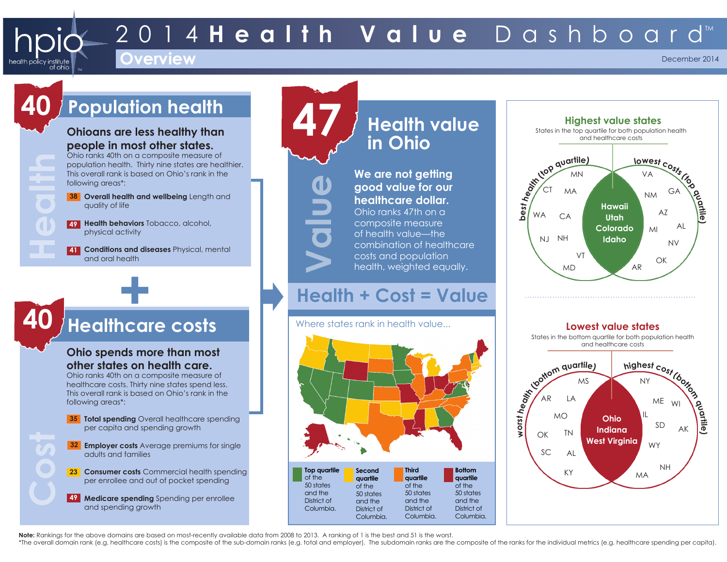# 2014 **Health Value** Dashboard™

### **Overview**

December 2014

# **40 Population health**

**Health**

iealth policv institute

of ohic

**40**

**Cost**

#### **Ohioans are less healthy than people in most other states.**

Ohio ranks 40th on a composite measure of population health. Thirty nine states are healthier. This overall rank is based on Ohio's rank in the following areas\*:

**Overall health and wellbeing** Length and **38** quality of life

**Health behaviors** Tobacco, alcohol, **49** physical activity

**Conditions and diseases** Physical, mental **41** and oral health

# **+ Healthcare costs**

#### **Ohio spends more than most other states on health care.** Ohio ranks 40th on a composite measure of

healthcare costs. Thirty nine states spend less. This overall rank is based on Ohio's rank in the following areas\*:

- **35** Total spending Overall healthcare spending per capita and spending growth
- **Employer costs** Average premiums for single **32** adults and families
- **Consumer costs** Commercial health spending **23** per enrollee and out of pocket spending
- **Medicare spending** Spending per enrollee **49** and spending growth

**Health value in Ohio We are not getting good value for our healthcare dollar.** Ohio ranks 47th on a composite measure of health value—the

combination of healthcare costs and population health, weighted equally.

## **Health + Cost = Value**

Where states rank in health value.







**Note:** Rankings for the above domains are based on most-recently available data from 2008 to 2013. A ranking of 1 is the best and 51 is the worst.

 $\rightarrow$ 

**Value**

\*The overall domain rank (e.a. healthcare costs) is the composite of the sub-domain ranks (e.a. total and emplover). The subdomain ranks are the composite of the ranks for the individual metrics (e.a. healthcare spending p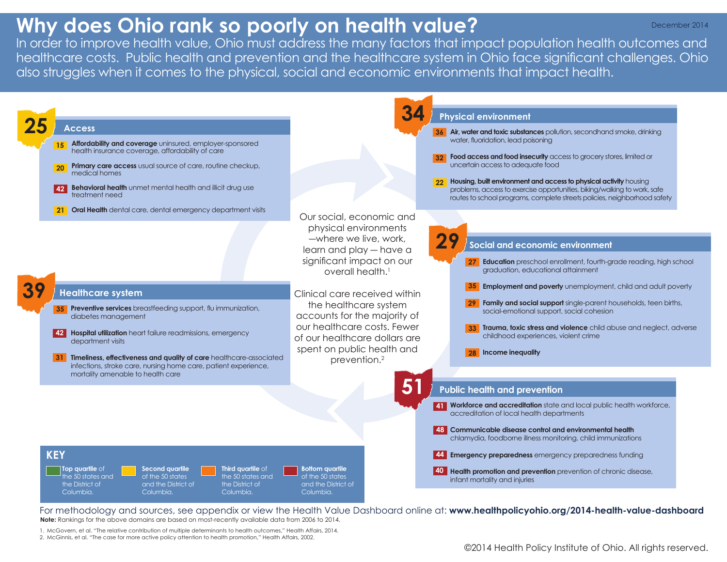# **Why does Ohio rank so poorly on health value?**

In order to improve health value, Ohio must address the many factors that impact population health outcomes and healthcare costs. Public health and prevention and the healthcare system in Ohio face significant challenges. Ohio also struggles when it comes to the physical, social and economic environments that impact health.



For methodology and sources, see appendix or view the Health Value Dashboard online at: **www.healthpolicyohio.org/2014-health-value-dashboard**

**Note:** Rankings for the above domains are based on most-recently available data from 2006 to 2014.

1. McGovern, et al. "The relative contribution of multiple determinants to health outcomes," Health Affairs, 2014. 2. McGinnis, et al. "The case for more active policy attention to health promotion," Health Affairs, 2002.

©2014 Health Policy Institute of Ohio. All rights reserved.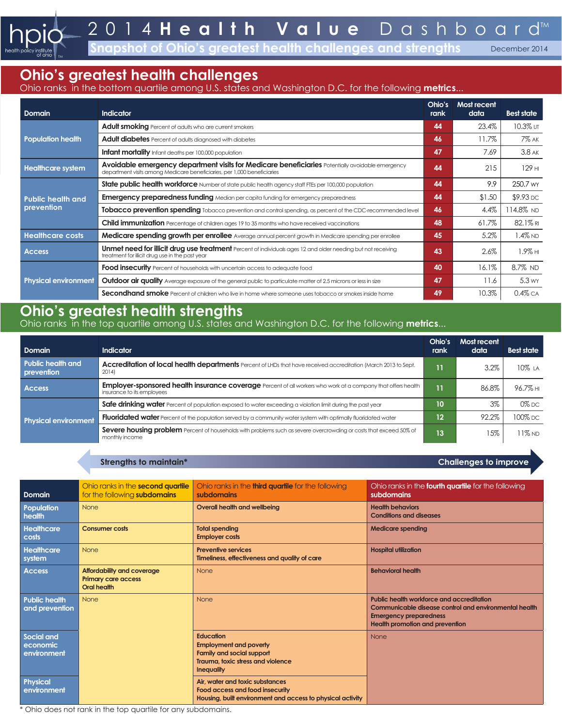**Solute 1 and 5 and 5 are of Ohio's greatest health challenges and strengths Becember 2014** 

### **Ohio's greatest health challenges**

#### Ohio ranks in the bottom quartile among U.S. states and Washington D.C. for the following **metrics**...

| Domain                                                                                                                                                                                                  | <b>Indicator</b>                                                                                                                                                       | Ohio's<br>rank | Most recent<br>data | <b>Best state</b> |
|---------------------------------------------------------------------------------------------------------------------------------------------------------------------------------------------------------|------------------------------------------------------------------------------------------------------------------------------------------------------------------------|----------------|---------------------|-------------------|
| <b>Population health</b>                                                                                                                                                                                | Adult smoking Percent of adults who are current smokers                                                                                                                | 44             | 23.4%               | 10.3% UT          |
|                                                                                                                                                                                                         | Adult diabetes Percent of adults diagnosed with diabetes                                                                                                               | 46             | $11.7\%$            | <b>7% AK</b>      |
|                                                                                                                                                                                                         | <b>Infant mortality</b> Infant deaths per 100,000 population                                                                                                           | 47             | 7.69                | $3.8$ AK          |
| Avoidable emergency department visits for Medicare beneficiaries Potentially avoidable emergency<br><b>Healthcare system</b><br>department visits among Medicare beneficiaries, per 1,000 beneficiaries |                                                                                                                                                                        | 44             | 215                 | 129 HI            |
| <b>Public health and</b><br>prevention                                                                                                                                                                  | State public health workforce Number of state public health agency staff FTEs per 100,000 population                                                                   | 44             | 9.9                 | 250.7 wy          |
|                                                                                                                                                                                                         | <b>Emergency preparedness funding</b> Median per capita funding for emergency preparedness                                                                             | 44             | \$1.50              | \$9.93 DC         |
|                                                                                                                                                                                                         | Tobacco prevention spending Tobacco prevention and control spending, as percent of the CDC-recommended level                                                           | 46             | 4.4%                | 14.8% ND          |
|                                                                                                                                                                                                         | <b>Child immunization</b> Percentage of children ages 19 to 35 months who have received vaccinations                                                                   | 48             | 61.7%               | $82.1\%$ RI       |
| <b>Healthcare costs</b>                                                                                                                                                                                 | Medicare spending growth per enrollee Average annual percent growth in Medicare spending per enrollee                                                                  |                | 5.2%                | $1.4\%$ ND        |
| <b>Access</b>                                                                                                                                                                                           | <b>Unmet need for illicit drug use treatment</b> Percent of individuals ages 12 and older needing but not receiving<br>treatment for illicit drug use in the past year |                | 2.6%                | $1.9\%$ HI        |
| <b>Physical environment</b>                                                                                                                                                                             | <b>Food insecurity</b> Percent of households with uncertain access to adequate food                                                                                    | 40             | 16.1%               | 8.7% ND           |
|                                                                                                                                                                                                         | Outdoor air quality Average exposure of the general public to particulate matter of 2.5 microns or less in size                                                        | 47             | 11.6                | 5.3 wy            |
|                                                                                                                                                                                                         | Secondhand smoke Percent of children who live in home where someone uses tobacco or smokes inside home                                                                 | 49             | 10.3%               | $0.4\%$ CA        |

## **Ohio's greatest health strengths**

Ohio ranks in the top quartile among U.S. states and Washington D.C. for the following **metrics**...

| <b>Domain</b>                          | <b>Indicator</b>                                                                                                                                  | Ohio's<br>rank    | Most recent<br>data | <b>Best state</b> |
|----------------------------------------|---------------------------------------------------------------------------------------------------------------------------------------------------|-------------------|---------------------|-------------------|
| <b>Public health and</b><br>prevention | <b>Accreditation of local health departments</b> Percent of LHDs that have received accreditation (March 2013 to Sept.<br>2014)                   | 11.               | $3.2\%$             | $10\%$ LA         |
| <b>Access</b>                          | <b>Employer-sponsored health insurance coverage</b> Percent of all workers who work at a company that offers health<br>insurance to its employees |                   | 86.8%               | 96.7% HI          |
| <b>Physical environment</b>            | Safe drinking water Percent of population exposed to water exceeding a violation limit during the past year                                       | 10                | 3%                  | $0\%$ DC          |
|                                        | <b>Fluoridated water</b> Percent of the population served by a community water system with optimally fluoridated water                            | $12 \overline{ }$ | 92.2%               | 100% DC           |
|                                        | Severe housing problem Percent of households with problems such as severe overcrowding or costs that exceed 50% of<br>monthly income              | 13                | 5%،                 | $11\%$ ND         |

|                                        | Strengths to maintain*                                                  |                                                                                                                                                 | <b>Challenges to improve</b>                                                                                                                                                  |
|----------------------------------------|-------------------------------------------------------------------------|-------------------------------------------------------------------------------------------------------------------------------------------------|-------------------------------------------------------------------------------------------------------------------------------------------------------------------------------|
|                                        |                                                                         |                                                                                                                                                 |                                                                                                                                                                               |
| Domain                                 | Ohio ranks in the second quartile<br>for the following subdomains       | Ohio ranks in the <b>third quartile</b> for the following<br>subdomains                                                                         | Ohio ranks in the <b>fourth quartile</b> for the following<br>subdomains                                                                                                      |
| <b>Population</b><br>health            | None                                                                    | <b>Overall health and wellbeing</b>                                                                                                             | <b>Health behaviors</b><br><b>Conditions and diseases</b>                                                                                                                     |
| <b>Healthcare</b><br>costs             | <b>Consumer costs</b>                                                   | <b>Total spending</b><br><b>Employer costs</b>                                                                                                  | <b>Medicare spending</b>                                                                                                                                                      |
| Healthcare<br>system                   | None                                                                    | <b>Preventive services</b><br>Timeliness, effectiveness and quality of care                                                                     | <b>Hospital utilization</b>                                                                                                                                                   |
| <b>Access</b>                          | Affordability and coverage<br><b>Primary care access</b><br>Oral health | None                                                                                                                                            | <b>Behavioral health</b>                                                                                                                                                      |
| <b>Public health</b><br>and prevention | <b>None</b>                                                             | None                                                                                                                                            | Public health workforce and accreditation<br>Communicable disease control and environmental health<br><b>Emergency preparedness</b><br><b>Health promotion and prevention</b> |
| Social and<br>economic<br>environment  |                                                                         | <b>Education</b><br><b>Employment and poverty</b><br><b>Family and social support</b><br>Trauma, toxic stress and violence<br><b>Inequality</b> | None                                                                                                                                                                          |
| <b>Physical</b><br>environment         |                                                                         | Air, water and toxic substances<br>Food access and food insecurity<br>Housing, built environment and access to physical activity                |                                                                                                                                                                               |

Ohio does not rank in the top quartile for any subdomains.